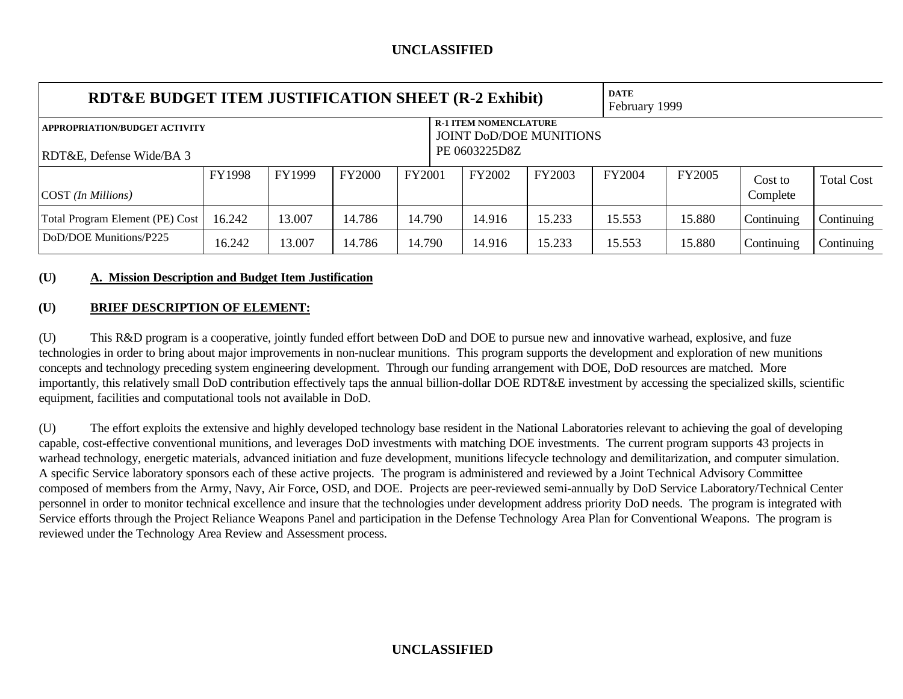| RDT&E BUDGET ITEM JUSTIFICATION SHEET (R-2 Exhibit)                                                    |               |        |               |               |  | <b>DATE</b>   | February 1999 |        |               |            |                   |
|--------------------------------------------------------------------------------------------------------|---------------|--------|---------------|---------------|--|---------------|---------------|--------|---------------|------------|-------------------|
| <b>R-1 ITEM NOMENCLATURE</b><br><b>APPROPRIATION/BUDGET ACTIVITY</b><br><b>JOINT DOD/DOE MUNITIONS</b> |               |        |               |               |  |               |               |        |               |            |                   |
| RDT&E, Defense Wide/BA 3                                                                               |               |        |               | PE 0603225D8Z |  |               |               |        |               |            |                   |
|                                                                                                        | <b>FY1998</b> | FY1999 | <b>FY2000</b> | FY2001        |  | <b>FY2002</b> | FY2003        | FY2004 | <b>FY2005</b> | Cost to    | <b>Total Cost</b> |
| COST (In Millions)                                                                                     |               |        |               |               |  |               |               |        |               | Complete   |                   |
| Total Program Element (PE) Cost                                                                        | 16.242        | 13.007 | 14.786        | 14.790        |  | 14.916        | 15.233        | 15.553 | 15.880        | Continuing | Continuing        |
| DoD/DOE Munitions/P225                                                                                 | 16.242        | 13.007 | 14.786        | 14.790        |  | 14.916        | 15.233        | 15.553 | 15.880        | Continuing | Continuing        |

#### **(U) A. Mission Description and Budget Item Justification**

### **(U) BRIEF DESCRIPTION OF ELEMENT:**

(U) This R&D program is a cooperative, jointly funded effort between DoD and DOE to pursue new and innovative warhead, explosive, and fuze technologies in order to bring about major improvements in non-nuclear munitions. This program supports the development and exploration of new munitions concepts and technology preceding system engineering development. Through our funding arrangement with DOE, DoD resources are matched. More importantly, this relatively small DoD contribution effectively taps the annual billion-dollar DOE RDT&E investment by accessing the specialized skills, scientific equipment, facilities and computational tools not available in DoD.

(U) The effort exploits the extensive and highly developed technology base resident in the National Laboratories relevant to achieving the goal of developing capable, cost-effective conventional munitions, and leverages DoD investments with matching DOE investments. The current program supports 43 projects in warhead technology, energetic materials, advanced initiation and fuze development, munitions lifecycle technology and demilitarization, and computer simulation. A specific Service laboratory sponsors each of these active projects. The program is administered and reviewed by a Joint Technical Advisory Committee composed of members from the Army, Navy, Air Force, OSD, and DOE. Projects are peer-reviewed semi-annually by DoD Service Laboratory/Technical Center personnel in order to monitor technical excellence and insure that the technologies under development address priority DoD needs. The program is integrated with Service efforts through the Project Reliance Weapons Panel and participation in the Defense Technology Area Plan for Conventional Weapons. The program is reviewed under the Technology Area Review and Assessment process.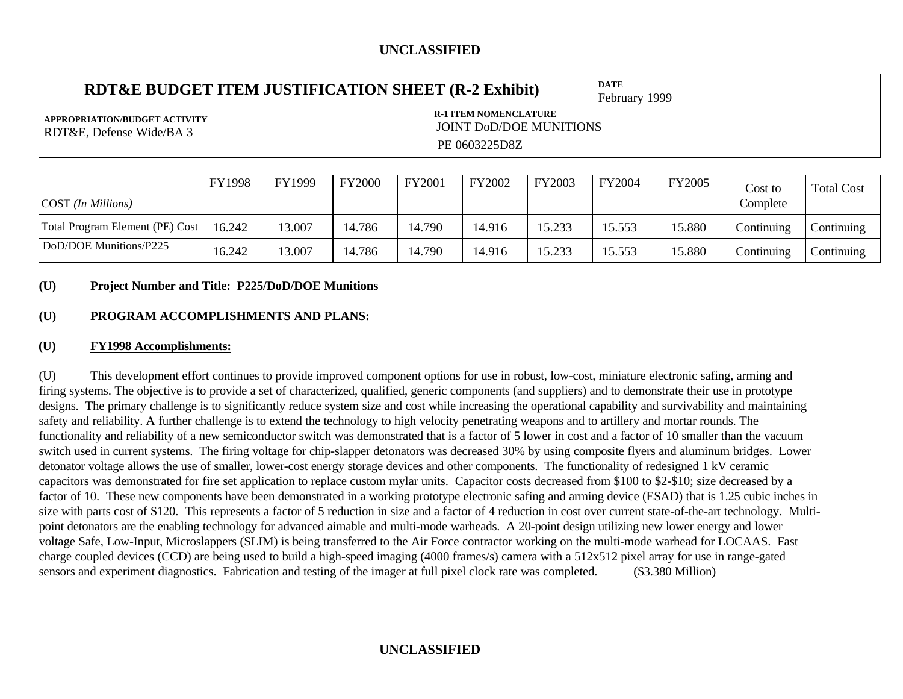| RDT&E BUDGET ITEM JUSTIFICATION SHEET (R-2 Exhibit)       |                                                                                 | <b>DATE</b><br>February 1999 |
|-----------------------------------------------------------|---------------------------------------------------------------------------------|------------------------------|
| APPROPRIATION/BUDGET ACTIVITY<br>RDT&E, Defense Wide/BA 3 | <b>R-1 ITEM NOMENCLATURE</b><br><b>JOINT DOD/DOE MUNITIONS</b><br>PE 0603225D8Z |                              |

| COST (In Millions)              | <b>FY1998</b> | FY1999 | <b>FY2000</b> | FY2001 | FY2002 | FY2003 | FY2004 | <b>FY2005</b> | Cost to<br>Complete    | <b>Total Cost</b> |
|---------------------------------|---------------|--------|---------------|--------|--------|--------|--------|---------------|------------------------|-------------------|
| Total Program Element (PE) Cost | 16.242        | 13.007 | .4.786        | 14.790 | 14.916 | 15.233 | 15.553 | 15.880        | $\mathcal{L}$ ontinumg | Continuing        |
| DoD/DOE Munitions/P225          | 16.242        | 13.007 | 4.786         | 14.790 | 14.916 | 15.233 | 15.553 | 15.880        | $\mathcal{L}$ ontinumg | Continuing        |

#### **(U) Project Number and Title: P225/DoD/DOE Munitions**

### **(U) PROGRAM ACCOMPLISHMENTS AND PLANS:**

#### **(U) FY1998 Accomplishments:**

(U) This development effort continues to provide improved component options for use in robust, low-cost, miniature electronic safing, arming and firing systems. The objective is to provide a set of characterized, qualified, generic components (and suppliers) and to demonstrate their use in prototype designs. The primary challenge is to significantly reduce system size and cost while increasing the operational capability and survivability and maintaining safety and reliability. A further challenge is to extend the technology to high velocity penetrating weapons and to artillery and mortar rounds. The functionality and reliability of a new semiconductor switch was demonstrated that is a factor of 5 lower in cost and a factor of 10 smaller than the vacuum switch used in current systems. The firing voltage for chip-slapper detonators was decreased 30% by using composite flyers and aluminum bridges. Lower detonator voltage allows the use of smaller, lower-cost energy storage devices and other components. The functionality of redesigned 1 kV ceramic capacitors was demonstrated for fire set application to replace custom mylar units. Capacitor costs decreased from \$100 to \$2-\$10; size decreased by a factor of 10. These new components have been demonstrated in a working prototype electronic safing and arming device (ESAD) that is 1.25 cubic inches in size with parts cost of \$120. This represents a factor of 5 reduction in size and a factor of 4 reduction in cost over current state-of-the-art technology. Multipoint detonators are the enabling technology for advanced aimable and multi-mode warheads. A 20-point design utilizing new lower energy and lower voltage Safe, Low-Input, Microslappers (SLIM) is being transferred to the Air Force contractor working on the multi-mode warhead for LOCAAS. Fast charge coupled devices (CCD) are being used to build a high-speed imaging (4000 frames/s) camera with a 512x512 pixel array for use in range-gated sensors and experiment diagnostics. Fabrication and testing of the imager at full pixel clock rate was completed. (\$3.380 Million)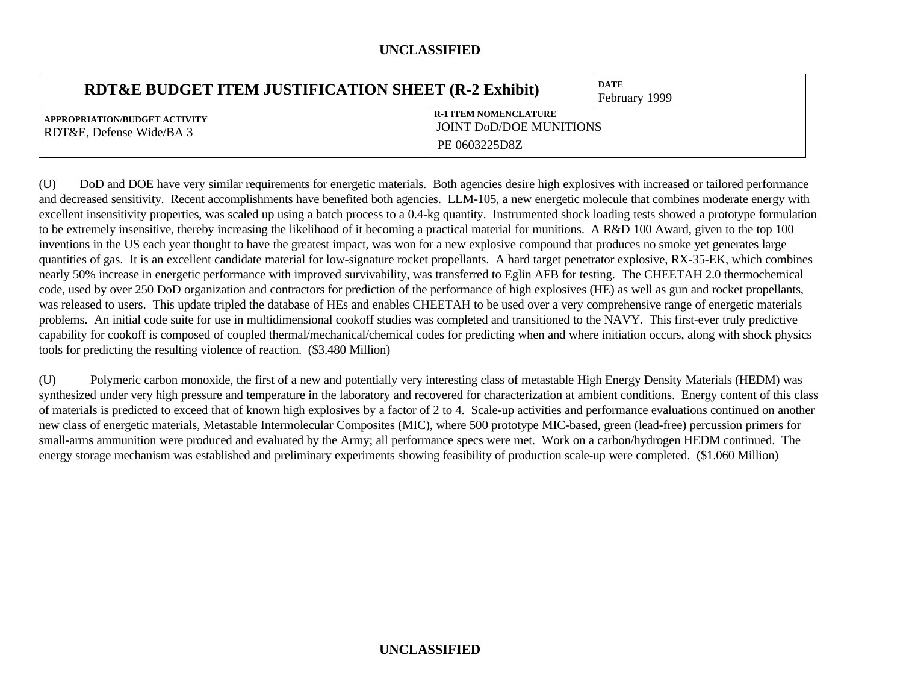| <b>RDT&amp;E BUDGET ITEM JUSTIFICATION SHEET (R-2 Exhibit)</b> |                                                                                 | <b>DATE</b><br>February 1999 |
|----------------------------------------------------------------|---------------------------------------------------------------------------------|------------------------------|
| APPROPRIATION/BUDGET ACTIVITY<br>RDT&E, Defense Wide/BA 3      | <b>R-1 ITEM NOMENCLATURE</b><br><b>JOINT DOD/DOE MUNITIONS</b><br>PE 0603225D8Z |                              |

(U) DoD and DOE have very similar requirements for energetic materials. Both agencies desire high explosives with increased or tailored performance and decreased sensitivity. Recent accomplishments have benefited both agencies. LLM-105, a new energetic molecule that combines moderate energy with excellent insensitivity properties, was scaled up using a batch process to a 0.4-kg quantity. Instrumented shock loading tests showed a prototype formulation to be extremely insensitive, thereby increasing the likelihood of it becoming a practical material for munitions. A R&D 100 Award, given to the top 100 inventions in the US each year thought to have the greatest impact, was won for a new explosive compound that produces no smoke yet generates large quantities of gas. It is an excellent candidate material for low-signature rocket propellants. A hard target penetrator explosive, RX-35-EK, which combines nearly 50% increase in energetic performance with improved survivability, was transferred to Eglin AFB for testing. The CHEETAH 2.0 thermochemical code, used by over 250 DoD organization and contractors for prediction of the performance of high explosives (HE) as well as gun and rocket propellants, was released to users. This update tripled the database of HEs and enables CHEETAH to be used over a very comprehensive range of energetic materials problems. An initial code suite for use in multidimensional cookoff studies was completed and transitioned to the NAVY. This first-ever truly predictive capability for cookoff is composed of coupled thermal/mechanical/chemical codes for predicting when and where initiation occurs, along with shock physics tools for predicting the resulting violence of reaction. (\$3.480 Million)

(U) Polymeric carbon monoxide, the first of a new and potentially very interesting class of metastable High Energy Density Materials (HEDM) was synthesized under very high pressure and temperature in the laboratory and recovered for characterization at ambient conditions. Energy content of this class of materials is predicted to exceed that of known high explosives by a factor of 2 to 4. Scale-up activities and performance evaluations continued on another new class of energetic materials, Metastable Intermolecular Composites (MIC), where 500 prototype MIC-based, green (lead-free) percussion primers for small-arms ammunition were produced and evaluated by the Army; all performance specs were met. Work on a carbon/hydrogen HEDM continued. The energy storage mechanism was established and preliminary experiments showing feasibility of production scale-up were completed. (\$1.060 Million)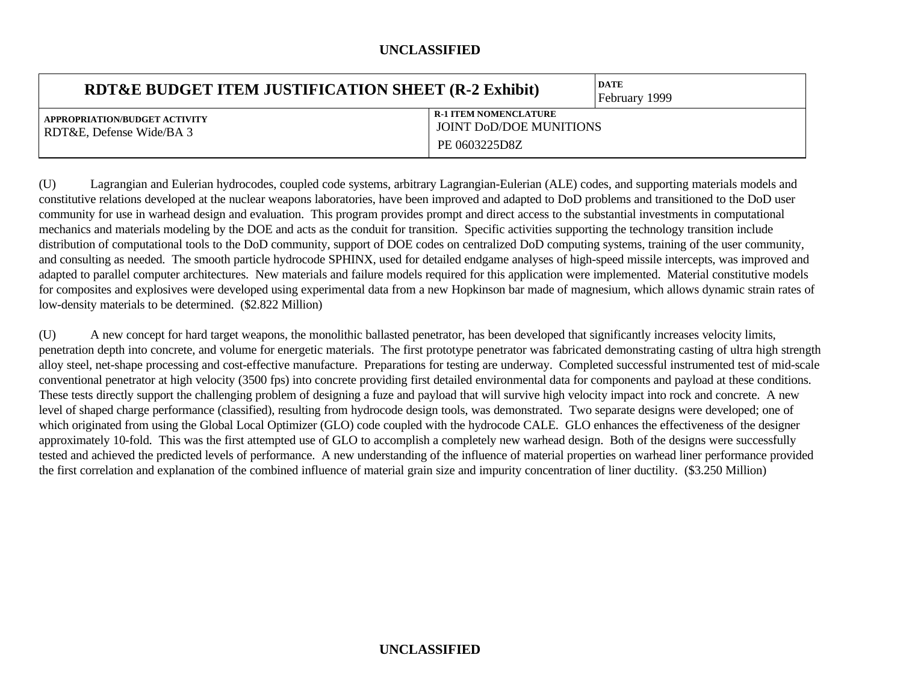| RDT&E BUDGET ITEM JUSTIFICATION SHEET (R-2 Exhibit)       |                                                                                 | <b>DATE</b><br>February 1999 |
|-----------------------------------------------------------|---------------------------------------------------------------------------------|------------------------------|
| APPROPRIATION/BUDGET ACTIVITY<br>RDT&E, Defense Wide/BA 3 | <b>R-1 ITEM NOMENCLATURE</b><br><b>JOINT DOD/DOE MUNITIONS</b><br>PE 0603225D8Z |                              |

(U) Lagrangian and Eulerian hydrocodes, coupled code systems, arbitrary Lagrangian-Eulerian (ALE) codes, and supporting materials models and constitutive relations developed at the nuclear weapons laboratories, have been improved and adapted to DoD problems and transitioned to the DoD user community for use in warhead design and evaluation. This program provides prompt and direct access to the substantial investments in computational mechanics and materials modeling by the DOE and acts as the conduit for transition. Specific activities supporting the technology transition include distribution of computational tools to the DoD community, support of DOE codes on centralized DoD computing systems, training of the user community, and consulting as needed. The smooth particle hydrocode SPHINX, used for detailed endgame analyses of high-speed missile intercepts, was improved and adapted to parallel computer architectures. New materials and failure models required for this application were implemented. Material constitutive models for composites and explosives were developed using experimental data from a new Hopkinson bar made of magnesium, which allows dynamic strain rates of low-density materials to be determined. (\$2.822 Million)

(U) A new concept for hard target weapons, the monolithic ballasted penetrator, has been developed that significantly increases velocity limits, penetration depth into concrete, and volume for energetic materials. The first prototype penetrator was fabricated demonstrating casting of ultra high strength alloy steel, net-shape processing and cost-effective manufacture. Preparations for testing are underway. Completed successful instrumented test of mid-scale conventional penetrator at high velocity (3500 fps) into concrete providing first detailed environmental data for components and payload at these conditions. These tests directly support the challenging problem of designing a fuze and payload that will survive high velocity impact into rock and concrete. A new level of shaped charge performance (classified), resulting from hydrocode design tools, was demonstrated. Two separate designs were developed; one of which originated from using the Global Local Optimizer (GLO) code coupled with the hydrocode CALE. GLO enhances the effectiveness of the designer approximately 10-fold. This was the first attempted use of GLO to accomplish a completely new warhead design. Both of the designs were successfully tested and achieved the predicted levels of performance. A new understanding of the influence of material properties on warhead liner performance provided the first correlation and explanation of the combined influence of material grain size and impurity concentration of liner ductility. (\$3.250 Million)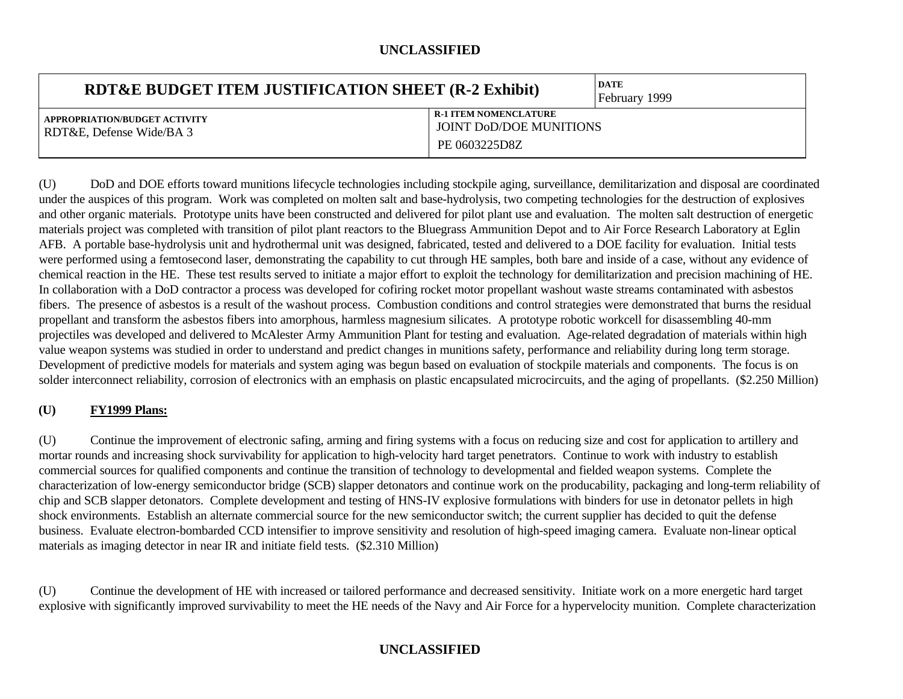| <b>RDT&amp;E BUDGET ITEM JUSTIFICATION SHEET (R-2 Exhibit)</b> |                                                                                 | <b>DATE</b><br>February 1999 |
|----------------------------------------------------------------|---------------------------------------------------------------------------------|------------------------------|
| APPROPRIATION/BUDGET ACTIVITY<br>RDT&E, Defense Wide/BA 3      | <b>R-1 ITEM NOMENCLATURE</b><br><b>JOINT DOD/DOE MUNITIONS</b><br>PE 0603225D8Z |                              |

(U) DoD and DOE efforts toward munitions lifecycle technologies including stockpile aging, surveillance, demilitarization and disposal are coordinated under the auspices of this program. Work was completed on molten salt and base-hydrolysis, two competing technologies for the destruction of explosives and other organic materials. Prototype units have been constructed and delivered for pilot plant use and evaluation. The molten salt destruction of energetic materials project was completed with transition of pilot plant reactors to the Bluegrass Ammunition Depot and to Air Force Research Laboratory at Eglin AFB. A portable base-hydrolysis unit and hydrothermal unit was designed, fabricated, tested and delivered to a DOE facility for evaluation. Initial tests were performed using a femtosecond laser, demonstrating the capability to cut through HE samples, both bare and inside of a case, without any evidence of chemical reaction in the HE. These test results served to initiate a major effort to exploit the technology for demilitarization and precision machining of HE. In collaboration with a DoD contractor a process was developed for cofiring rocket motor propellant washout waste streams contaminated with asbestos fibers. The presence of asbestos is a result of the washout process. Combustion conditions and control strategies were demonstrated that burns the residual propellant and transform the asbestos fibers into amorphous, harmless magnesium silicates. A prototype robotic workcell for disassembling 40-mm projectiles was developed and delivered to McAlester Army Ammunition Plant for testing and evaluation. Age-related degradation of materials within high value weapon systems was studied in order to understand and predict changes in munitions safety, performance and reliability during long term storage. Development of predictive models for materials and system aging was begun based on evaluation of stockpile materials and components. The focus is on solder interconnect reliability, corrosion of electronics with an emphasis on plastic encapsulated microcircuits, and the aging of propellants. (\$2.250 Million)

### **(U) FY1999 Plans:**

(U) Continue the improvement of electronic safing, arming and firing systems with a focus on reducing size and cost for application to artillery and mortar rounds and increasing shock survivability for application to high-velocity hard target penetrators. Continue to work with industry to establish commercial sources for qualified components and continue the transition of technology to developmental and fielded weapon systems. Complete the characterization of low-energy semiconductor bridge (SCB) slapper detonators and continue work on the producability, packaging and long-term reliability of chip and SCB slapper detonators. Complete development and testing of HNS-IV explosive formulations with binders for use in detonator pellets in high shock environments. Establish an alternate commercial source for the new semiconductor switch; the current supplier has decided to quit the defense business. Evaluate electron-bombarded CCD intensifier to improve sensitivity and resolution of high-speed imaging camera. Evaluate non-linear optical materials as imaging detector in near IR and initiate field tests. (\$2.310 Million)

(U) Continue the development of HE with increased or tailored performance and decreased sensitivity. Initiate work on a more energetic hard target explosive with significantly improved survivability to meet the HE needs of the Navy and Air Force for a hypervelocity munition. Complete characterization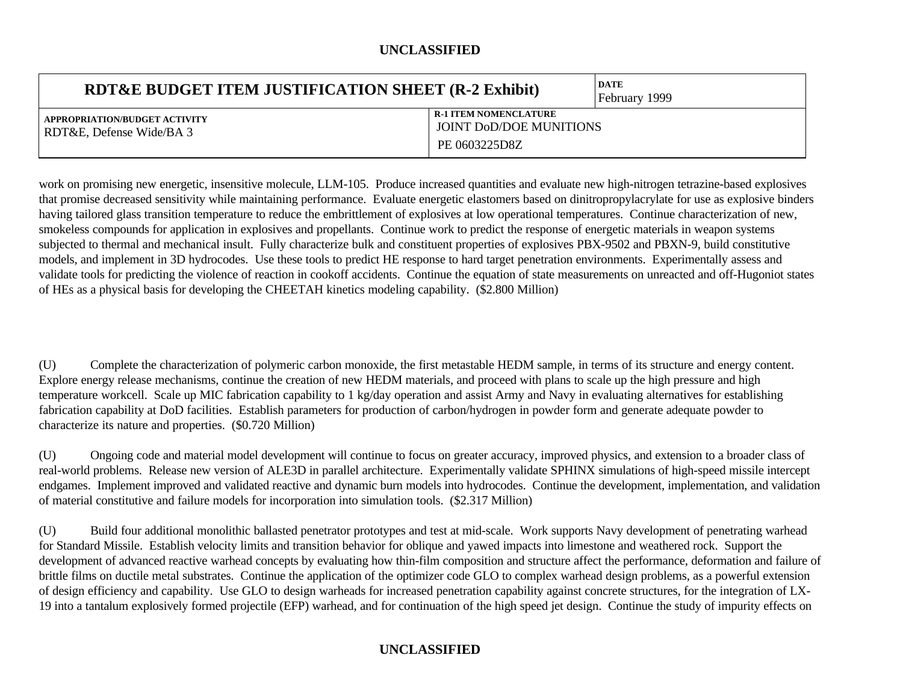| <b>RDT&amp;E BUDGET ITEM JUSTIFICATION SHEET (R-2 Exhibit)</b> |                                                                                 | <b>DATE</b><br>February 1999 |
|----------------------------------------------------------------|---------------------------------------------------------------------------------|------------------------------|
| APPROPRIATION/BUDGET ACTIVITY<br>RDT&E, Defense Wide/BA 3      | <b>R-1 ITEM NOMENCLATURE</b><br><b>JOINT DOD/DOE MUNITIONS</b><br>PE 0603225D8Z |                              |

work on promising new energetic, insensitive molecule, LLM-105. Produce increased quantities and evaluate new high-nitrogen tetrazine-based explosives that promise decreased sensitivity while maintaining performance. Evaluate energetic elastomers based on dinitropropylacrylate for use as explosive binders having tailored glass transition temperature to reduce the embrittlement of explosives at low operational temperatures. Continue characterization of new, smokeless compounds for application in explosives and propellants. Continue work to predict the response of energetic materials in weapon systems subjected to thermal and mechanical insult. Fully characterize bulk and constituent properties of explosives PBX-9502 and PBXN-9, build constitutive models, and implement in 3D hydrocodes. Use these tools to predict HE response to hard target penetration environments. Experimentally assess and validate tools for predicting the violence of reaction in cookoff accidents. Continue the equation of state measurements on unreacted and off-Hugoniot states of HEs as a physical basis for developing the CHEETAH kinetics modeling capability. (\$2.800 Million)

(U) Complete the characterization of polymeric carbon monoxide, the first metastable HEDM sample, in terms of its structure and energy content. Explore energy release mechanisms, continue the creation of new HEDM materials, and proceed with plans to scale up the high pressure and high temperature workcell. Scale up MIC fabrication capability to 1 kg/day operation and assist Army and Navy in evaluating alternatives for establishing fabrication capability at DoD facilities. Establish parameters for production of carbon/hydrogen in powder form and generate adequate powder to characterize its nature and properties. (\$0.720 Million)

(U) Ongoing code and material model development will continue to focus on greater accuracy, improved physics, and extension to a broader class of real-world problems. Release new version of ALE3D in parallel architecture. Experimentally validate SPHINX simulations of high-speed missile intercept endgames. Implement improved and validated reactive and dynamic burn models into hydrocodes. Continue the development, implementation, and validation of material constitutive and failure models for incorporation into simulation tools. (\$2.317 Million)

(U) Build four additional monolithic ballasted penetrator prototypes and test at mid-scale. Work supports Navy development of penetrating warhead for Standard Missile. Establish velocity limits and transition behavior for oblique and yawed impacts into limestone and weathered rock. Support the development of advanced reactive warhead concepts by evaluating how thin-film composition and structure affect the performance, deformation and failure of brittle films on ductile metal substrates. Continue the application of the optimizer code GLO to complex warhead design problems, as a powerful extension of design efficiency and capability. Use GLO to design warheads for increased penetration capability against concrete structures, for the integration of LX-19 into a tantalum explosively formed projectile (EFP) warhead, and for continuation of the high speed jet design. Continue the study of impurity effects on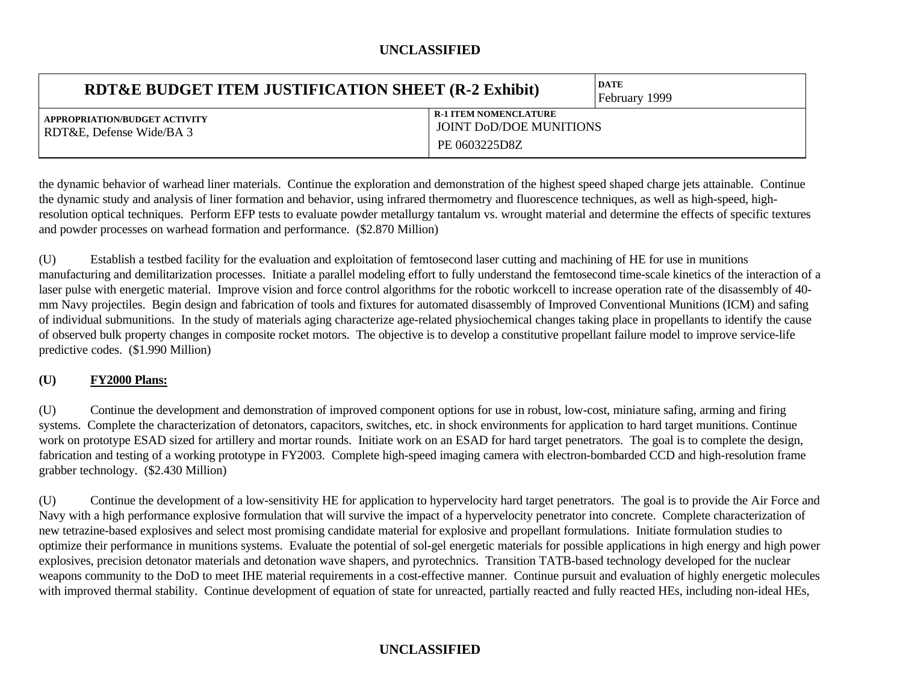| <b>RDT&amp;E BUDGET ITEM JUSTIFICATION SHEET (R-2 Exhibit)</b> |                                                                          | <b>DATE</b><br><b>February</b> 1999 |
|----------------------------------------------------------------|--------------------------------------------------------------------------|-------------------------------------|
| APPROPRIATION/BUDGET ACTIVITY<br>RDT&E, Defense Wide/BA 3      | <b>R-1 ITEM NOMENCLATURE</b><br>JOINT DOD/DOE MUNITIONS<br>PE 0603225D8Z |                                     |

the dynamic behavior of warhead liner materials. Continue the exploration and demonstration of the highest speed shaped charge jets attainable. Continue the dynamic study and analysis of liner formation and behavior, using infrared thermometry and fluorescence techniques, as well as high-speed, highresolution optical techniques. Perform EFP tests to evaluate powder metallurgy tantalum vs. wrought material and determine the effects of specific textures and powder processes on warhead formation and performance. (\$2.870 Million)

(U) Establish a testbed facility for the evaluation and exploitation of femtosecond laser cutting and machining of HE for use in munitions manufacturing and demilitarization processes. Initiate a parallel modeling effort to fully understand the femtosecond time-scale kinetics of the interaction of a laser pulse with energetic material. Improve vision and force control algorithms for the robotic workcell to increase operation rate of the disassembly of 40 mm Navy projectiles. Begin design and fabrication of tools and fixtures for automated disassembly of Improved Conventional Munitions (ICM) and safing of individual submunitions. In the study of materials aging characterize age-related physiochemical changes taking place in propellants to identify the cause of observed bulk property changes in composite rocket motors. The objective is to develop a constitutive propellant failure model to improve service-life predictive codes. (\$1.990 Million)

### **(U) FY2000 Plans:**

(U) Continue the development and demonstration of improved component options for use in robust, low-cost, miniature safing, arming and firing systems. Complete the characterization of detonators, capacitors, switches, etc. in shock environments for application to hard target munitions. Continue work on prototype ESAD sized for artillery and mortar rounds. Initiate work on an ESAD for hard target penetrators. The goal is to complete the design, fabrication and testing of a working prototype in FY2003. Complete high-speed imaging camera with electron-bombarded CCD and high-resolution frame grabber technology. (\$2.430 Million)

(U) Continue the development of a low-sensitivity HE for application to hypervelocity hard target penetrators. The goal is to provide the Air Force and Navy with a high performance explosive formulation that will survive the impact of a hypervelocity penetrator into concrete. Complete characterization of new tetrazine-based explosives and select most promising candidate material for explosive and propellant formulations. Initiate formulation studies to optimize their performance in munitions systems. Evaluate the potential of sol-gel energetic materials for possible applications in high energy and high power explosives, precision detonator materials and detonation wave shapers, and pyrotechnics. Transition TATB-based technology developed for the nuclear weapons community to the DoD to meet IHE material requirements in a cost-effective manner. Continue pursuit and evaluation of highly energetic molecules with improved thermal stability. Continue development of equation of state for unreacted, partially reacted and fully reacted HEs, including non-ideal HEs,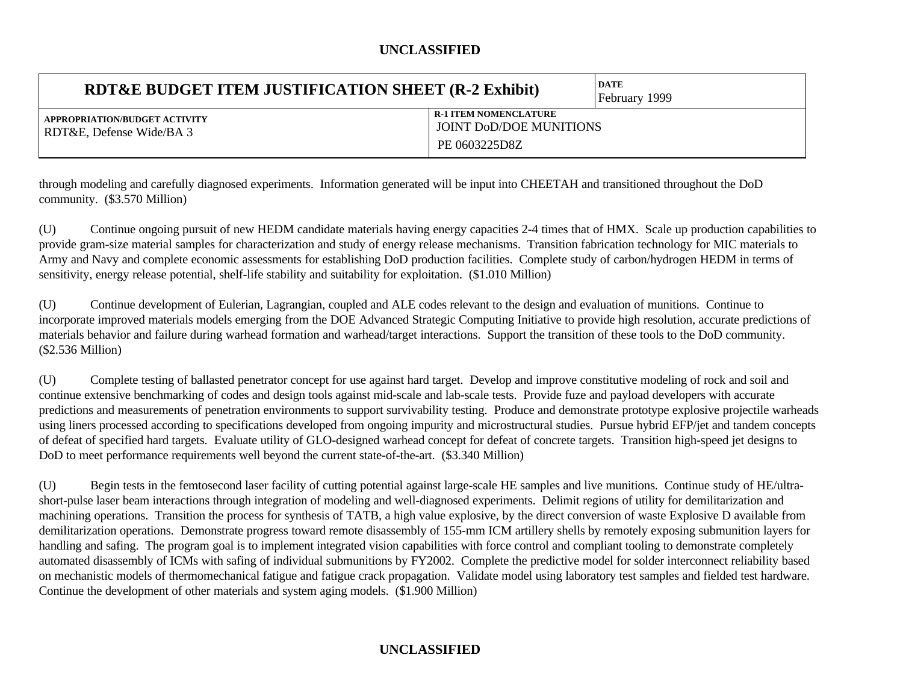| <b>RDT&amp;E BUDGET ITEM JUSTIFICATION SHEET (R-2 Exhibit)</b> |                                                                                 | <b>DATE</b><br>February 1999 |
|----------------------------------------------------------------|---------------------------------------------------------------------------------|------------------------------|
| APPROPRIATION/BUDGET ACTIVITY<br>RDT&E, Defense Wide/BA 3      | <b>R-1 ITEM NOMENCLATURE</b><br><b>JOINT DOD/DOE MUNITIONS</b><br>PE 0603225D8Z |                              |

through modeling and carefully diagnosed experiments. Information generated will be input into CHEETAH and transitioned throughout the DoD community. (\$3.570 Million)

(U) Continue ongoing pursuit of new HEDM candidate materials having energy capacities 2-4 times that of HMX. Scale up production capabilities to provide gram-size material samples for characterization and study of energy release mechanisms. Transition fabrication technology for MIC materials to Army and Navy and complete economic assessments for establishing DoD production facilities. Complete study of carbon/hydrogen HEDM in terms of sensitivity, energy release potential, shelf-life stability and suitability for exploitation. (\$1.010 Million)

(U) Continue development of Eulerian, Lagrangian, coupled and ALE codes relevant to the design and evaluation of munitions. Continue to incorporate improved materials models emerging from the DOE Advanced Strategic Computing Initiative to provide high resolution, accurate predictions of materials behavior and failure during warhead formation and warhead/target interactions. Support the transition of these tools to the DoD community. (\$2.536 Million)

(U) Complete testing of ballasted penetrator concept for use against hard target. Develop and improve constitutive modeling of rock and soil and continue extensive benchmarking of codes and design tools against mid-scale and lab-scale tests. Provide fuze and payload developers with accurate predictions and measurements of penetration environments to support survivability testing. Produce and demonstrate prototype explosive projectile warheads using liners processed according to specifications developed from ongoing impurity and microstructural studies. Pursue hybrid EFP/jet and tandem concepts of defeat of specified hard targets. Evaluate utility of GLO-designed warhead concept for defeat of concrete targets. Transition high-speed jet designs to DoD to meet performance requirements well beyond the current state-of-the-art. (\$3.340 Million)

(U) Begin tests in the femtosecond laser facility of cutting potential against large-scale HE samples and live munitions. Continue study of HE/ultrashort-pulse laser beam interactions through integration of modeling and well-diagnosed experiments. Delimit regions of utility for demilitarization and machining operations. Transition the process for synthesis of TATB, a high value explosive, by the direct conversion of waste Explosive D available from demilitarization operations. Demonstrate progress toward remote disassembly of 155-mm ICM artillery shells by remotely exposing submunition layers for handling and safing. The program goal is to implement integrated vision capabilities with force control and compliant tooling to demonstrate completely automated disassembly of ICMs with safing of individual submunitions by FY2002. Complete the predictive model for solder interconnect reliability based on mechanistic models of thermomechanical fatigue and fatigue crack propagation. Validate model using laboratory test samples and fielded test hardware. Continue the development of other materials and system aging models. (\$1.900 Million)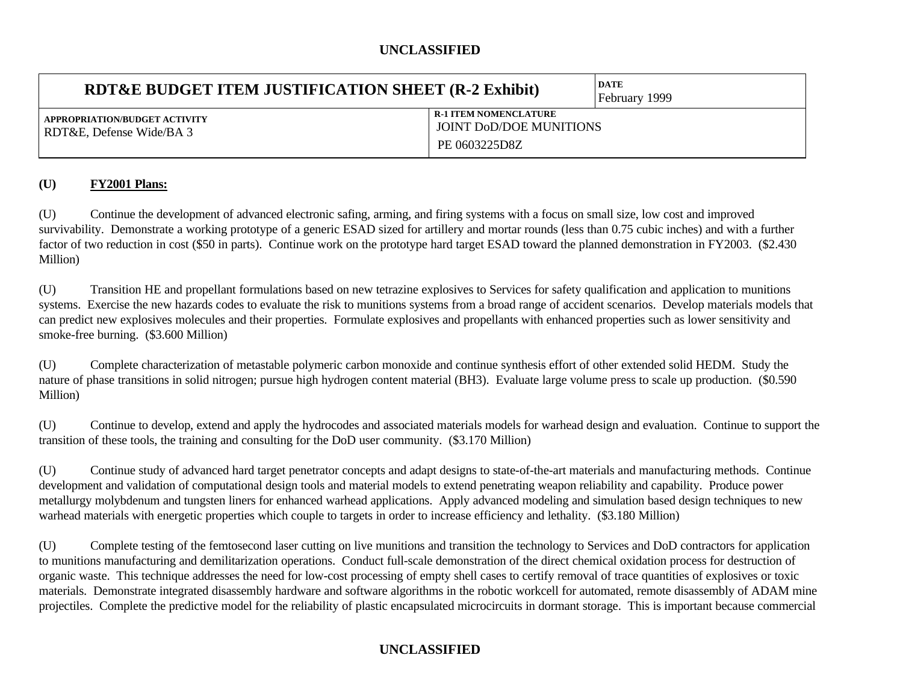| RDT&E BUDGET ITEM JUSTIFICATION SHEET (R-2 Exhibit)       |                                                                                 | <b>DATE</b><br><b>February</b> 1999 |
|-----------------------------------------------------------|---------------------------------------------------------------------------------|-------------------------------------|
| APPROPRIATION/BUDGET ACTIVITY<br>RDT&E, Defense Wide/BA 3 | <b>R-1 ITEM NOMENCLATURE</b><br><b>JOINT DOD/DOE MUNITIONS</b><br>PE 0603225D8Z |                                     |

### **(U) FY2001 Plans:**

(U) Continue the development of advanced electronic safing, arming, and firing systems with a focus on small size, low cost and improved survivability. Demonstrate a working prototype of a generic ESAD sized for artillery and mortar rounds (less than 0.75 cubic inches) and with a further factor of two reduction in cost (\$50 in parts). Continue work on the prototype hard target ESAD toward the planned demonstration in FY2003. (\$2.430 Million)

(U) Transition HE and propellant formulations based on new tetrazine explosives to Services for safety qualification and application to munitions systems. Exercise the new hazards codes to evaluate the risk to munitions systems from a broad range of accident scenarios. Develop materials models that can predict new explosives molecules and their properties. Formulate explosives and propellants with enhanced properties such as lower sensitivity and smoke-free burning. (\$3.600 Million)

(U) Complete characterization of metastable polymeric carbon monoxide and continue synthesis effort of other extended solid HEDM. Study the nature of phase transitions in solid nitrogen; pursue high hydrogen content material (BH3). Evaluate large volume press to scale up production. (\$0.590 Million)

(U) Continue to develop, extend and apply the hydrocodes and associated materials models for warhead design and evaluation. Continue to support the transition of these tools, the training and consulting for the DoD user community. (\$3.170 Million)

(U) Continue study of advanced hard target penetrator concepts and adapt designs to state-of-the-art materials and manufacturing methods. Continue development and validation of computational design tools and material models to extend penetrating weapon reliability and capability. Produce power metallurgy molybdenum and tungsten liners for enhanced warhead applications. Apply advanced modeling and simulation based design techniques to new warhead materials with energetic properties which couple to targets in order to increase efficiency and lethality. (\$3.180 Million)

(U) Complete testing of the femtosecond laser cutting on live munitions and transition the technology to Services and DoD contractors for application to munitions manufacturing and demilitarization operations. Conduct full-scale demonstration of the direct chemical oxidation process for destruction of organic waste. This technique addresses the need for low-cost processing of empty shell cases to certify removal of trace quantities of explosives or toxic materials. Demonstrate integrated disassembly hardware and software algorithms in the robotic workcell for automated, remote disassembly of ADAM mine projectiles. Complete the predictive model for the reliability of plastic encapsulated microcircuits in dormant storage. This is important because commercial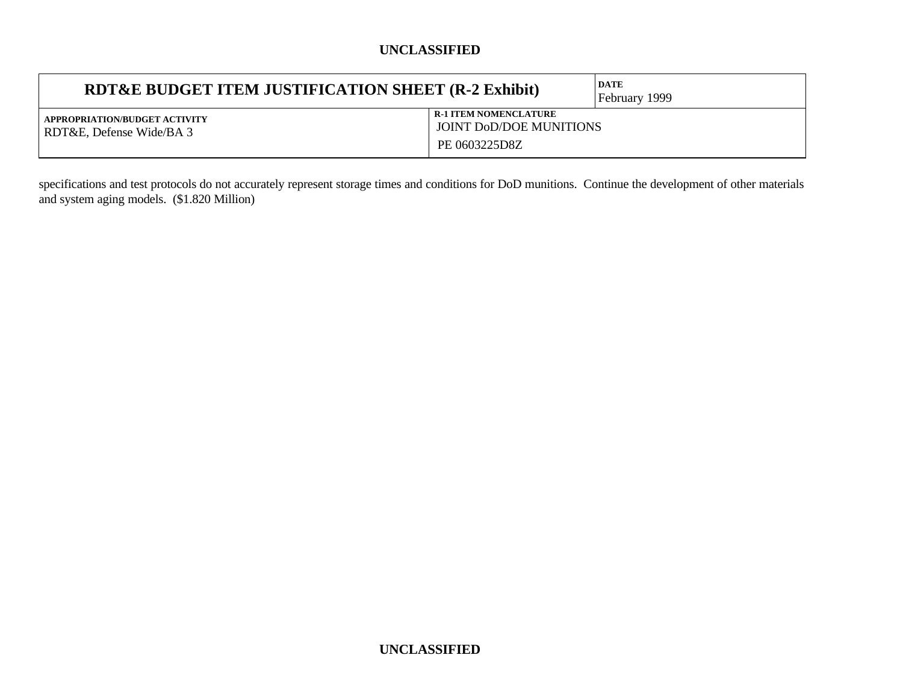| RDT&E BUDGET ITEM JUSTIFICATION SHEET (R-2 Exhibit)       |                                                                                 | <b>DATE</b><br>February 1999 |
|-----------------------------------------------------------|---------------------------------------------------------------------------------|------------------------------|
| APPROPRIATION/BUDGET ACTIVITY<br>RDT&E, Defense Wide/BA 3 | <b>R-1 ITEM NOMENCLATURE</b><br><b>JOINT DOD/DOE MUNITIONS</b><br>PE 0603225D8Z |                              |

specifications and test protocols do not accurately represent storage times and conditions for DoD munitions. Continue the development of other materials and system aging models. (\$1.820 Million)